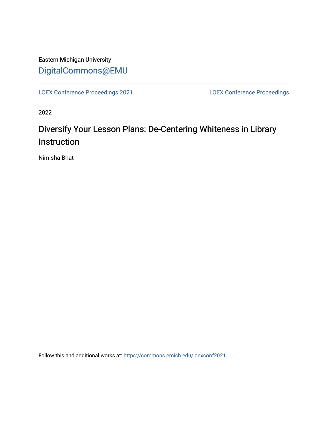## Eastern Michigan University [DigitalCommons@EMU](https://commons.emich.edu/)

[LOEX Conference Proceedings 2021](https://commons.emich.edu/loexconf2021) [LOEX Conference Proceedings](https://commons.emich.edu/loexconf) 

2022

## Diversify Your Lesson Plans: De-Centering Whiteness in Library **Instruction**

Nimisha Bhat

Follow this and additional works at: [https://commons.emich.edu/loexconf2021](https://commons.emich.edu/loexconf2021?utm_source=commons.emich.edu%2Floexconf2021%2F23&utm_medium=PDF&utm_campaign=PDFCoverPages)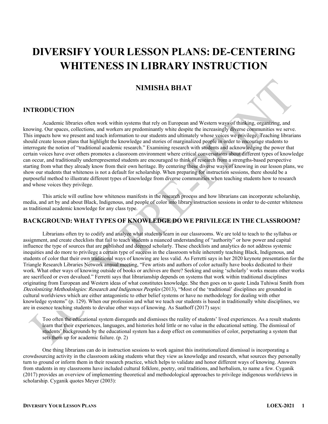# **DIVERSIFY YOUR LESSON PLANS: DE-CENTERING WHITENESS IN LIBRARY INSTRUCTION**

## **NIMISHA BHAT**

#### **INTRODUCTION**

Academic libraries often work within systems that rely on European and Western ways of thinking, organizing, and knowing. Our spaces, collections, and workers are predominantly white despite the increasingly diverse communities we serve. This impacts how we present and teach information to our students and ultimately whose voices we privilege. Teaching librarians should create lesson plans that highlight the knowledge and stories of marginalized people in order to encourage students to interrogate the notion of "traditional academic research." Examining research with students and acknowledging the power that certain voices have over others promotes a classroom environment where critical conversations about different types of knowledge can occur, and traditionally underrepresented students are encouraged to think of research from a strengths-based perspective starting from what they already know from their own heritage. By centering these diverse ways of knowing in our lesson plans, we show our students that whiteness is not a default for scholarship. When preparing for instruction sessions, there should be a purposeful method to illustrate different types of knowledge from diverse communities when teaching students how to research and whose voices they privilege.

This article will outline how whiteness manifests in the research process and how librarians can incorporate scholarship, media, and art by and about Black, Indigenous, and people of color into library instruction sessions in order to de-center whiteness as traditional academic knowledge for any class type.

### **BACKGROUND: WHAT TYPES OF KNOWLEDGE DO WE PRIVILEGE IN THE CLASSROOM?**

Librarians often try to codify and analyze what students learn in our classrooms. We are told to teach to the syllabus or assignment, and create checklists that fail to teach students a nuanced understanding of "authority" or how power and capital influence the type of sources that are published and deemed scholarly. These checklists and analytics do not address systemic inequities and do more to privilege a certain type of success in the classroom while inherently teaching Black, Indigenous, and students of color that their own traditional ways of knowing are less valid. As Ferretti says in her 2020 keynote presentation for the Triangle Research Libraries Network annual meeting, "Few artists and authors of color actually have books dedicated to their work. What other ways of knowing outside of books or archives are there? Seeking and using 'scholarly' works means other works are sacrificed or even devalued." Ferretti says that librarianship depends on systems that work within traditional disciplines originating from European and Western ideas of what constitutes knowledge. She then goes on to quote Linda Tuhiwai Smith from Decolonizing Methodologies: Research and Indigenous Peoples (2013), "Most of the 'traditional' disciplines are grounded in cultural worldviews which are either antagonistic to other belief systems or have no methodology for dealing with other knowledge systems" (p. 129). When our profession and what we teach our students is based in traditionally white disciplines, we are in essence teaching students to devalue other ways of knowing. As Saathoff (2017) says:

Too often the educational system disregards and dismisses the reality of students' lived experiences. As a result students learn that their experiences, languages, and histories hold little or no value in the educational setting. The dismissal of students' backgrounds by the educational system has a deep effect on communities of color, perpetuating a system that sets them up for academic failure. (p. 2)

One thing librarians can do in instruction sessions to work against this institutionalized dismissal is incorporating a crowdsourcing activity in the classroom asking students what they view as knowledge and research, what sources they personally turn to ground or inform them in their research practice, which helps to validate and honor different ways of knowing. Answers from students in my classrooms have included cultural folklore, poetry, oral traditions, and herbalism, to name a few. Cyganik (2017) provides an overview of implementing theoretical and methodological approaches to privilege indigenous worldviews in scholarship. Cyganik quotes Meyer (2003):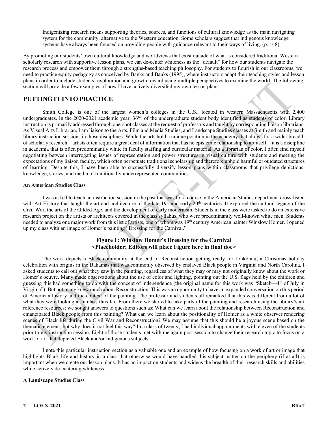Indigenizing research means supporting theories, sources, and functions of cultural knowledge as the main navigating system for the community, alternative to the Western education. Some scholars suggest that indigenous knowledge systems have always been focused on providing people with guidance relevant to their ways of living. (p. 148)

By promoting our students' own cultural knowledge and worldviews that exist outside of what is considered traditional Western scholarly research with supportive lesson plans, we can de-center whiteness as the "default" for how our students navigate the research process and empower them through a strengths-based teaching philosophy. For students to flourish in our classrooms, we need to practice equity pedagogy as conceived by Banks and Banks (1995), where instructors adapt their teaching styles and lesson plans in order to include students' exploration and growth toward using multiple perspectives to examine the world. The following section will provide a few examples of how I have actively diversifed my own lesson plans.

#### **PUTTING IT INTO PRACTICE**

Smith College is one of the largest women's colleges in the U.S., located in western Massachusetts with 2,400 undergraduates. In the 2020-2021 academic year, 36% of the undergraduate student body identified as students of color. Library instruction is primarily addressed through one-shot classes at the request of professors and taught by corresponding liaison librarians. As Visual Arts Librarian, I am liaison to the Arts, Film and Media Studies, and Landscape Studies classes at Smith and mainly teach library instruction sessions in those disciplines. While the arts hold a unique position in the academy that allows for a wider breadth of scholarly research—artists often require a great deal of information that has no epistemic relationship to art itself—it is a discipline in academia that is often predominantly white in faculty staffing and curricular material. As a librarian of color, I often find myself negotiating between interrogating issues of representation and power structures in visual culture with students and meeting the expectations of my liaison faculty, which often perpetuate traditional scholarship and therefore uphold harmful or outdated structures of learning. Despite this, I have been able to successfully diversify lesson plans within classrooms that privilege depictions, knowledge, stories, and media of traditionally underrepresented communities.

#### **An American Studies Class**

I was asked to teach an instruction session in the past that was for a course in the American Studies department cross-listed with Art History that taught the art and architecture of the late 19<sup>th</sup> and early 20<sup>th</sup> centuries. It explored the cultural legacy of the Civil War, the arts of the Gilded Age, and the development of early modernism. Students in the class were tasked to do an extensive research project on the artists or architects covered in the class syllabus, who were predominantly well-known white men. Students needed to analyze one major work from this list of artists, one of whom was 19th century American painter Winslow Homer. I opened up my class with an image of Homer's painting "Dressing for the Carnival."

#### **Figure 1: Winslow Homer's Dressing for the Carnival <Placeholder; Editors will place Figure here in final doc>**

The work depicts a Black community at the end of Reconstruction getting ready for Jonkonnu, a Christmas holiday celebration with origins in the Bahamas that was commonly observed by enslaved Black people in Virginia and North Carolina. I asked students to call out what they saw in the painting, regardless of what they may or may not originally know about the work or Homer's oeuvre. Many made observations about the use of color and lighting, pointing out the U.S. flags held by the children and guessing this had something to do with the concept of independence (the original name for this work was "Sketch—4th of July in Virginia"). But not many knew much about Reconstruction. This was an opportunity to have an expanded conversation on this period of American history and the context of the painting. The professor and students all remarked that this was different from a lot of what they were looking at in class thus far. From there we started to take parts of the painting and research using the library's art reference resources; we sought answers to questions such as: What can we learn about the relationship between Reconstruction and emancipated Black people from this painting? What can we learn about the positionality of Homer as a white observer rendering scenes of Black life during the Civil War and Reconstruction? We may assume that this should be a joyous scene based on the thematic element, but why does it not feel this way? In a class of twenty, I had individual appointments with eleven of the students prior to my instruction session. Eight of those students met with me again post-session to change their research topic to focus on a work of art that depicted Black and/or Indigenous subjects.

I note this particular instruction section as a valuable one and an example of how focusing on a work of art or image that highlights Black life and history in a class that otherwise would have handled this subject matter on the periphery (if at all) is important when we create our lesson plans. It has an impact on students and widens the breadth of their research skills and abilities while actively de-centering whiteness.

#### **A Landscape Studies Class**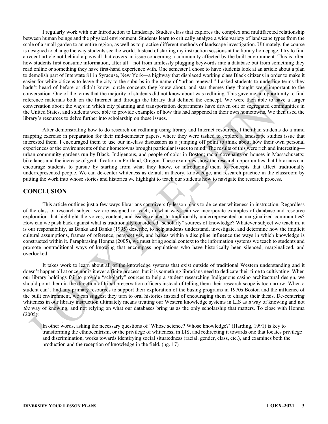I regularly work with our Introduction to Landscape Studies class that explores the complex and multifaceted relationship between human beings and the physical environment. Students learn to critically analyze a wide variety of landscape types from the scale of a small garden to an entire region, as well as to practice different methods of landscape investigation. Ultimately, the course is designed to change the way students see the world. Instead of starting my instruction sessions at the library homepage, I try to find a recent article not behind a paywall that covers an issue concerning a community affected by the built environment. This is often how students first consume information, after all—not from aimlessly plugging keywords into a database but from something they read online or something they have first-hand experience with. One semester I chose to have students look at an article about a plan to demolish part of Interstate 81 in Syracuse, New York—a highway that displaced working class Black citizens in order to make it easier for white citizens to leave the city to the suburbs in the name of "urban renewal." I asked students to underline terms they hadn't heard of before or didn't know, circle concepts they knew about, and star themes they thought were important to the conversation. One of the terms that the majority of students did not know about was redlining. This gave me an opportunity to find reference materials both on the Internet and through the library that defined the concept. We were then able to have a larger conversation about the ways in which city planning and transportation departments have driven out or segregated communities in the United States, and students were able to provide examples of how this had happened in their own hometowns. We then used the library's resources to delve further into scholarship on these issues.

After demonstrating how to do research on redlining using library and Internet resources, I then had students do a mind mapping exercise in preparation for their mid-semester papers, where they were tasked to explore a landscape studies issue that interested them. I encouraged them to use our in-class discussion as a jumping off point to think about how their own personal experiences or the environments of their hometowns brought particular issues to mind. The results of this were rich and interesting urban community gardens run by Black, Indigenous, and people of color in Boston; racial covenants on houses in Massachusetts; bike lanes and the increase of gentrification in Portland, Oregon. These examples show the research opportunities that librarians can encourage students to pursue by starting from what they know, or introducing them to concepts that affect traditionally underrepresented people. We can de-center whiteness as default in theory, knowledge, and research practice in the classroom by putting the work into whose stories and histories we highlight to teach our students how to navigate the research process.

#### **CONCLUSION**

This article outlines just a few ways librarians can diversify lesson plans to de-center whiteness in instruction. Regardless of the class or research subject we are assigned to teach, in what ways can we incorporate examples of database and resource exploration that highlight the voices, content, and issues related to traditionally underrepresented or marginalized communities? How can we push back against what is traditionally considered "scholarly" sources of knowledge? Whatever subject we teach in, it is our responsibility, as Banks and Banks (1995) describe, to help students understand, investigate, and determine how the implicit cultural assumptions, frames of reference, perspectives, and baises within a discipline influence the ways in which knowledge is constructed within it. Paraphrasing Honma (2005), we must bring social context to the information systems we teach to students and promote nontraditional ways of knowing that encompass populations who have historically been silenced, marginalized, and overlooked.

It takes work to learn about all of the knowledge systems that exist outside of traditional Western understanding and it doesn't happen all at once nor is it ever a finite process, but it is something librarians need to dedicate their time to cultivating. When our library holdings fail to provide "scholarly" sources to help a student researching Indigenous casino architectural design, we should point them in the direction of tribal preservation officers instead of telling them their research scope is too narrow. When a student can't find any primary resources to support their exploration of the busing programs in 1970s Boston and the influence of the built environment, we can suggest they turn to oral histories instead of encouraging them to change their thesis. De-centering whiteness in our library instruction ultimately means treating our Western knowledge systems in LIS as a way of knowing and not the way of knowing, and not relying on what our databases bring us as the only scholarship that matters. To close with Honma (2005):

In other words, asking the necessary questions of 'Whose science? Whose knowledge?' (Harding, 1991) is key to transforming the ethnocentrism, or the privilege of whiteness, in LIS, and redirecting it towards one that locates privilege and discrimination, works towards identifying social situatedness (racial, gender, class, etc.), and examines both the production and the reception of knowledge in the field. (pg. 17)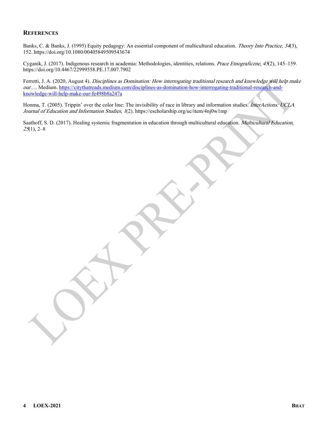#### **REFERENCES**

Banks, C. & Banks, J. (1995) Equity pedagogy: An essential component of multicultural education. Theory Into Practice, 34(3), 152. https://doi.org/10.1080/00405849509543674

Cyganik, J. (2017). Indigenous research in academia: Methodologies, identities, relations. Prace Etnograficzne, 45(2), 145–159. https://doi.org/10.4467/22999558.PE.17.007.7902

Ferretti, J. A. (2020, August 4). Disciplines as Domination: How interrogating traditional research and knowledge will help make our…. Medium. [https://citythatreads.medium.com/disciplines-as-domination-how-interrogating-traditional-research-and](https://citythatreads.medium.com/disciplines-as-domination-how-interrogating-traditional-research-and-knowledge-will-help-make-our-fe498b8a247a)[knowledge-will-help-make-our-fe498b8a247a](https://citythatreads.medium.com/disciplines-as-domination-how-interrogating-traditional-research-and-knowledge-will-help-make-our-fe498b8a247a) 

Honma, T. (2005). Trippin' over the color line: The invisibility of race in library and information studies. InterActions: UCLA Journal of Education and Information Studies, 1(2). https://escholarship.org/uc/item/4nj0w1mp

Saathoff, S. D. (2017). Healing systemic fragmentation in education through multicultural education. *Multicultural Education*,  $25(1)$ , 2–8